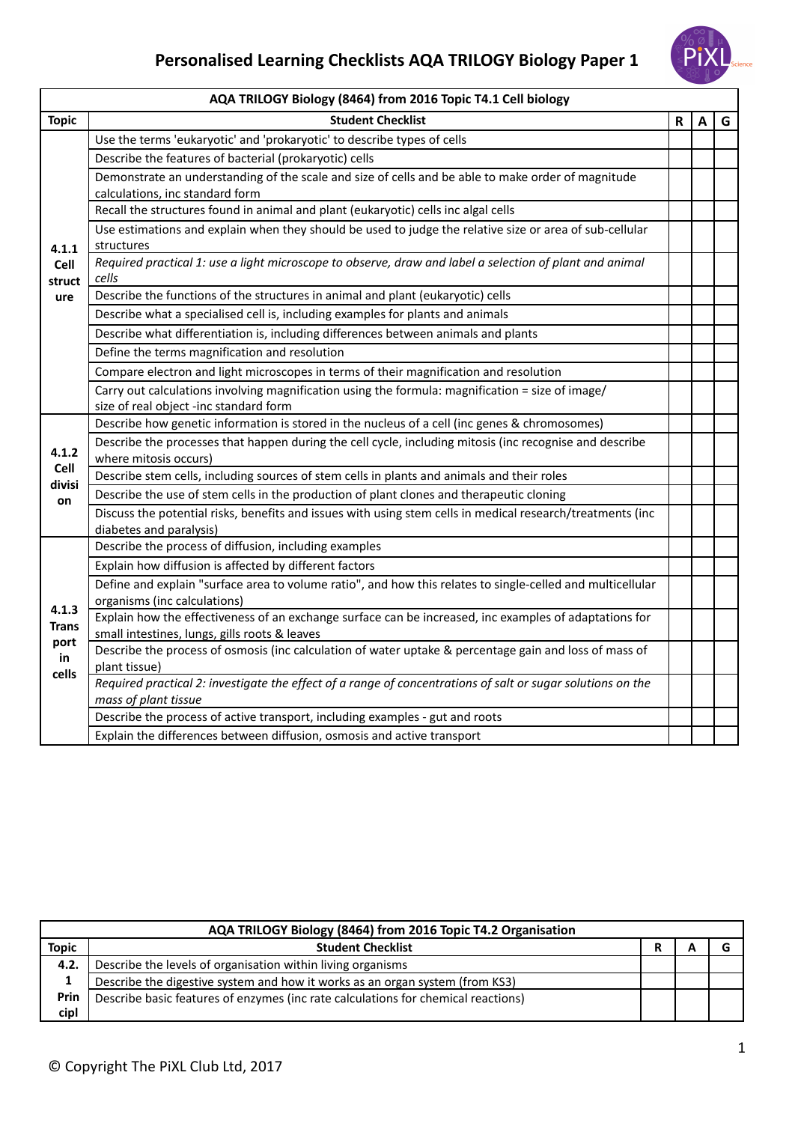

|                     | AQA TRILOGY Biology (8464) from 2016 Topic T4.1 Cell biology                                                                                            |   |   |   |  |  |
|---------------------|---------------------------------------------------------------------------------------------------------------------------------------------------------|---|---|---|--|--|
| <b>Topic</b>        | <b>Student Checklist</b>                                                                                                                                | R | Α | G |  |  |
|                     | Use the terms 'eukaryotic' and 'prokaryotic' to describe types of cells                                                                                 |   |   |   |  |  |
|                     | Describe the features of bacterial (prokaryotic) cells                                                                                                  |   |   |   |  |  |
|                     | Demonstrate an understanding of the scale and size of cells and be able to make order of magnitude<br>calculations, inc standard form                   |   |   |   |  |  |
|                     | Recall the structures found in animal and plant (eukaryotic) cells inc algal cells                                                                      |   |   |   |  |  |
| 4.1.1               | Use estimations and explain when they should be used to judge the relative size or area of sub-cellular<br>structures                                   |   |   |   |  |  |
| Cell<br>struct      | Required practical 1: use a light microscope to observe, draw and label a selection of plant and animal<br>cells                                        |   |   |   |  |  |
| ure                 | Describe the functions of the structures in animal and plant (eukaryotic) cells                                                                         |   |   |   |  |  |
|                     | Describe what a specialised cell is, including examples for plants and animals                                                                          |   |   |   |  |  |
|                     | Describe what differentiation is, including differences between animals and plants                                                                      |   |   |   |  |  |
|                     | Define the terms magnification and resolution                                                                                                           |   |   |   |  |  |
|                     | Compare electron and light microscopes in terms of their magnification and resolution                                                                   |   |   |   |  |  |
|                     | Carry out calculations involving magnification using the formula: magnification = size of image/<br>size of real object -inc standard form              |   |   |   |  |  |
|                     | Describe how genetic information is stored in the nucleus of a cell (inc genes & chromosomes)                                                           |   |   |   |  |  |
| 4.1.2               | Describe the processes that happen during the cell cycle, including mitosis (inc recognise and describe<br>where mitosis occurs)                        |   |   |   |  |  |
| Cell<br>divisi      | Describe stem cells, including sources of stem cells in plants and animals and their roles                                                              |   |   |   |  |  |
| on                  | Describe the use of stem cells in the production of plant clones and therapeutic cloning                                                                |   |   |   |  |  |
|                     | Discuss the potential risks, benefits and issues with using stem cells in medical research/treatments (inc<br>diabetes and paralysis)                   |   |   |   |  |  |
|                     | Describe the process of diffusion, including examples                                                                                                   |   |   |   |  |  |
|                     | Explain how diffusion is affected by different factors                                                                                                  |   |   |   |  |  |
|                     | Define and explain "surface area to volume ratio", and how this relates to single-celled and multicellular<br>organisms (inc calculations)              |   |   |   |  |  |
| 4.1.3<br>Trans      | Explain how the effectiveness of an exchange surface can be increased, inc examples of adaptations for<br>small intestines, lungs, gills roots & leaves |   |   |   |  |  |
| port<br>in<br>cells | Describe the process of osmosis (inc calculation of water uptake & percentage gain and loss of mass of<br>plant tissue)                                 |   |   |   |  |  |
|                     | Required practical 2: investigate the effect of a range of concentrations of salt or sugar solutions on the<br>mass of plant tissue                     |   |   |   |  |  |
|                     | Describe the process of active transport, including examples - gut and roots                                                                            |   |   |   |  |  |
|                     | Explain the differences between diffusion, osmosis and active transport                                                                                 |   |   |   |  |  |

|              | AQA TRILOGY Biology (8464) from 2016 Topic T4.2 Organisation                      |  |  |
|--------------|-----------------------------------------------------------------------------------|--|--|
| <b>Topic</b> | <b>Student Checklist</b>                                                          |  |  |
| 4.2.         | Describe the levels of organisation within living organisms                       |  |  |
| 1            | Describe the digestive system and how it works as an organ system (from KS3)      |  |  |
| Prin         | Describe basic features of enzymes (inc rate calculations for chemical reactions) |  |  |
| cipl         |                                                                                   |  |  |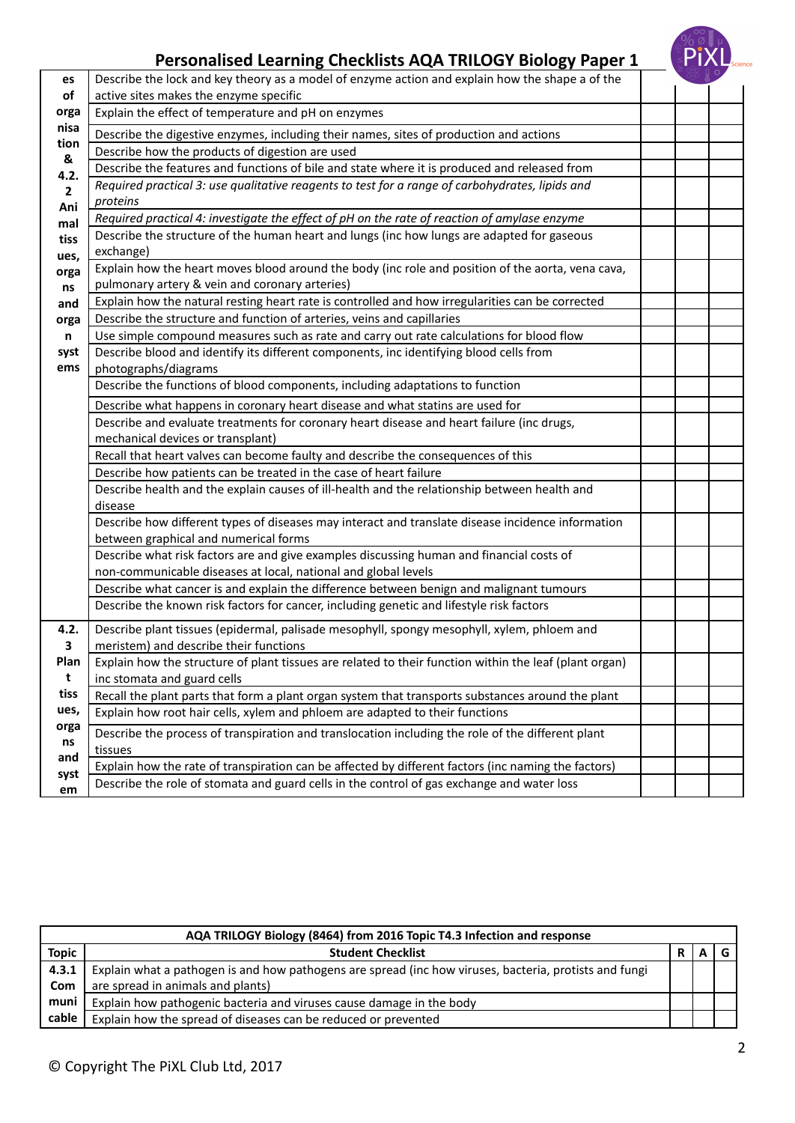

| es           | Describe the lock and key theory as a model of enzyme action and explain how the shape a of the                |  |  |
|--------------|----------------------------------------------------------------------------------------------------------------|--|--|
| of           | active sites makes the enzyme specific                                                                         |  |  |
| orga         | Explain the effect of temperature and pH on enzymes                                                            |  |  |
| nisa         | Describe the digestive enzymes, including their names, sites of production and actions                         |  |  |
| tion<br>&    | Describe how the products of digestion are used                                                                |  |  |
| 4.2.         | Describe the features and functions of bile and state where it is produced and released from                   |  |  |
| $\mathbf{2}$ | Required practical 3: use qualitative reagents to test for a range of carbohydrates, lipids and                |  |  |
| Ani          | proteins                                                                                                       |  |  |
| mal          | Required practical 4: investigate the effect of pH on the rate of reaction of amylase enzyme                   |  |  |
| tiss         | Describe the structure of the human heart and lungs (inc how lungs are adapted for gaseous                     |  |  |
| ues,         | exchange)                                                                                                      |  |  |
| orga         | Explain how the heart moves blood around the body (inc role and position of the aorta, vena cava,              |  |  |
| ns           | pulmonary artery & vein and coronary arteries)                                                                 |  |  |
| and          | Explain how the natural resting heart rate is controlled and how irregularities can be corrected               |  |  |
| orga         | Describe the structure and function of arteries, veins and capillaries                                         |  |  |
| n            | Use simple compound measures such as rate and carry out rate calculations for blood flow                       |  |  |
| syst<br>ems  | Describe blood and identify its different components, inc identifying blood cells from<br>photographs/diagrams |  |  |
|              | Describe the functions of blood components, including adaptations to function                                  |  |  |
|              | Describe what happens in coronary heart disease and what statins are used for                                  |  |  |
|              | Describe and evaluate treatments for coronary heart disease and heart failure (inc drugs,                      |  |  |
|              | mechanical devices or transplant)                                                                              |  |  |
|              | Recall that heart valves can become faulty and describe the consequences of this                               |  |  |
|              | Describe how patients can be treated in the case of heart failure                                              |  |  |
|              | Describe health and the explain causes of ill-health and the relationship between health and                   |  |  |
|              | disease                                                                                                        |  |  |
|              | Describe how different types of diseases may interact and translate disease incidence information              |  |  |
|              | between graphical and numerical forms                                                                          |  |  |
|              | Describe what risk factors are and give examples discussing human and financial costs of                       |  |  |
|              | non-communicable diseases at local, national and global levels                                                 |  |  |
|              | Describe what cancer is and explain the difference between benign and malignant tumours                        |  |  |
|              | Describe the known risk factors for cancer, including genetic and lifestyle risk factors                       |  |  |
| 4.2.         | Describe plant tissues (epidermal, palisade mesophyll, spongy mesophyll, xylem, phloem and                     |  |  |
| 3            | meristem) and describe their functions                                                                         |  |  |
| Plan         | Explain how the structure of plant tissues are related to their function within the leaf (plant organ)         |  |  |
| t            | inc stomata and guard cells                                                                                    |  |  |
| tiss         | Recall the plant parts that form a plant organ system that transports substances around the plant              |  |  |
| ues,         | Explain how root hair cells, xylem and phloem are adapted to their functions                                   |  |  |
| orga<br>ns   | Describe the process of transpiration and translocation including the role of the different plant              |  |  |
| and          | tissues                                                                                                        |  |  |
| syst         | Explain how the rate of transpiration can be affected by different factors (inc naming the factors)            |  |  |
| em           | Describe the role of stomata and guard cells in the control of gas exchange and water loss                     |  |  |

|              | AQA TRILOGY Biology (8464) from 2016 Topic T4.3 Infection and response                                 |  |  |  |
|--------------|--------------------------------------------------------------------------------------------------------|--|--|--|
| <b>Topic</b> | <b>Student Checklist</b>                                                                               |  |  |  |
| 4.3.1        | Explain what a pathogen is and how pathogens are spread (inc how viruses, bacteria, protists and fungi |  |  |  |
| Com          | are spread in animals and plants)                                                                      |  |  |  |
| muni         | Explain how pathogenic bacteria and viruses cause damage in the body                                   |  |  |  |
| cable        | Explain how the spread of diseases can be reduced or prevented                                         |  |  |  |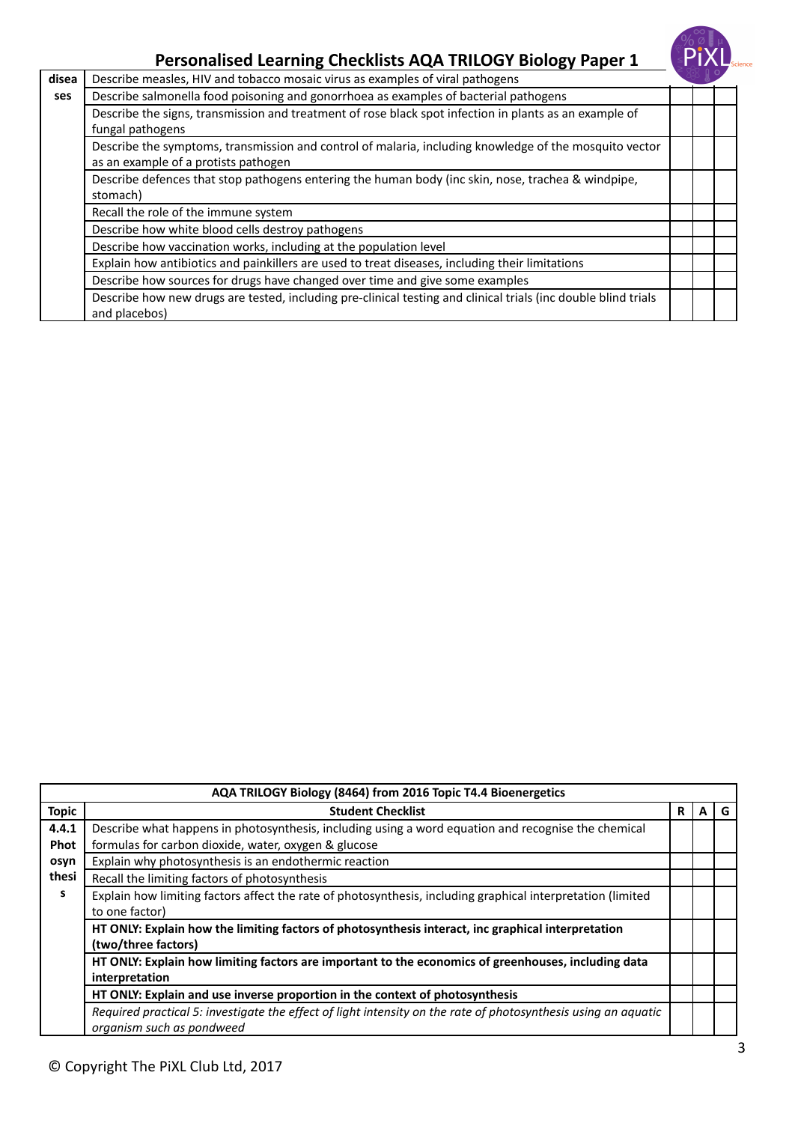

|       | ັ້                                                                                                                                             |  |  |
|-------|------------------------------------------------------------------------------------------------------------------------------------------------|--|--|
| disea | Describe measles, HIV and tobacco mosaic virus as examples of viral pathogens                                                                  |  |  |
| ses   | Describe salmonella food poisoning and gonorrhoea as examples of bacterial pathogens                                                           |  |  |
|       | Describe the signs, transmission and treatment of rose black spot infection in plants as an example of<br>fungal pathogens                     |  |  |
|       | Describe the symptoms, transmission and control of malaria, including knowledge of the mosquito vector<br>as an example of a protists pathogen |  |  |
|       | Describe defences that stop pathogens entering the human body (inc skin, nose, trachea & windpipe,<br>stomach)                                 |  |  |
|       | Recall the role of the immune system                                                                                                           |  |  |
|       | Describe how white blood cells destroy pathogens                                                                                               |  |  |
|       | Describe how vaccination works, including at the population level                                                                              |  |  |
|       | Explain how antibiotics and painkillers are used to treat diseases, including their limitations                                                |  |  |
|       | Describe how sources for drugs have changed over time and give some examples                                                                   |  |  |
|       | Describe how new drugs are tested, including pre-clinical testing and clinical trials (inc double blind trials<br>and placebos)                |  |  |
|       |                                                                                                                                                |  |  |

|              | AQA TRILOGY Biology (8464) from 2016 Topic T4.4 Bioenergetics                                                  |   |   |   |  |
|--------------|----------------------------------------------------------------------------------------------------------------|---|---|---|--|
| <b>Topic</b> | <b>Student Checklist</b>                                                                                       | R | A | G |  |
| 4.4.1        | Describe what happens in photosynthesis, including using a word equation and recognise the chemical            |   |   |   |  |
| <b>Phot</b>  | formulas for carbon dioxide, water, oxygen & glucose                                                           |   |   |   |  |
| osyn         | Explain why photosynthesis is an endothermic reaction                                                          |   |   |   |  |
| thesi        | Recall the limiting factors of photosynthesis                                                                  |   |   |   |  |
| s            | Explain how limiting factors affect the rate of photosynthesis, including graphical interpretation (limited    |   |   |   |  |
|              | to one factor)                                                                                                 |   |   |   |  |
|              | HT ONLY: Explain how the limiting factors of photosynthesis interact, inc graphical interpretation             |   |   |   |  |
|              | (two/three factors)                                                                                            |   |   |   |  |
|              | HT ONLY: Explain how limiting factors are important to the economics of greenhouses, including data            |   |   |   |  |
|              | interpretation                                                                                                 |   |   |   |  |
|              | HT ONLY: Explain and use inverse proportion in the context of photosynthesis                                   |   |   |   |  |
|              | Required practical 5: investigate the effect of light intensity on the rate of photosynthesis using an aquatic |   |   |   |  |
|              | organism such as pondweed                                                                                      |   |   |   |  |